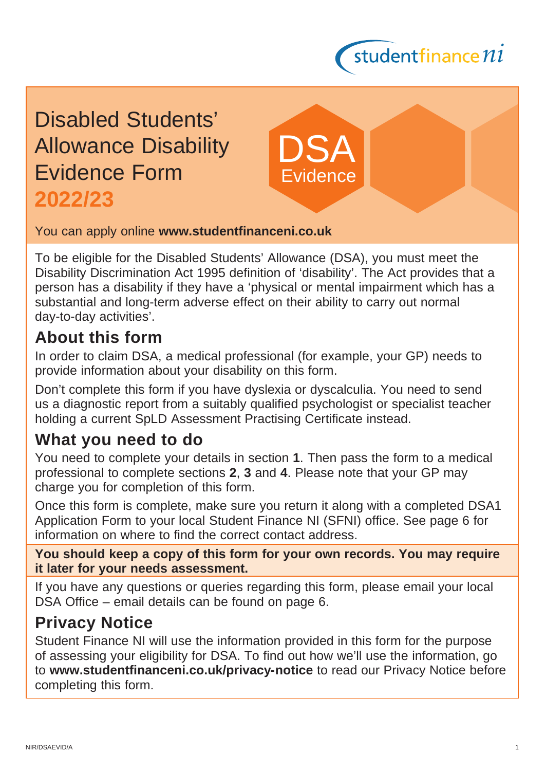

# Disabled Students' Allowance Disability Evidence Form **2022/23**

You can apply online **[www.studentfinanceni.co.uk](http://www.studentfinanceni.co.uk)**

To be eligible for the Disabled Students' Allowance (DSA), you must meet the Disability Discrimination Act 1995 definition of 'disability'. The Act provides that a person has a disability if they have a 'physical or mental impairment which has a substantial and long-term adverse effect on their ability to carry out normal day-to-day activities'.

DSA

**Evidence** 

## **About this form**

In order to claim DSA, a medical professional (for example, your GP) needs to provide information about your disability on this form.

Don't complete this form if you have dyslexia or dyscalculia. You need to send us a diagnostic report from a suitably qualified psychologist or specialist teacher holding a current SpLD Assessment Practising Certificate instead.

## **What you need to do**

You need to complete your details in section **1**. Then pass the form to a medical professional to complete sections **2**, **3** and **4**. Please note that your GP may charge you for completion of this form.

Once this form is complete, make sure you return it along with a completed DSA1 Application Form to your local Student Finance NI (SFNI) office. See page 6 for information on where to find the correct contact address.

**You should keep a copy of this form for your own records. You may require it later for your needs assessment.**

If you have any questions or queries regarding this form, please email your local DSA Office – email details can be found on page 6.

## **Privacy Notice**

Student Finance NI will use the information provided in this form for the purpose of assessing your eligibility for DSA. To find out how we'll use the information, go to **[www.studentfinanceni.co.uk/privacy-notice](http://www.studentfinanceni.co.uk/privacynotice)** to read our Privacy Notice before completing this form.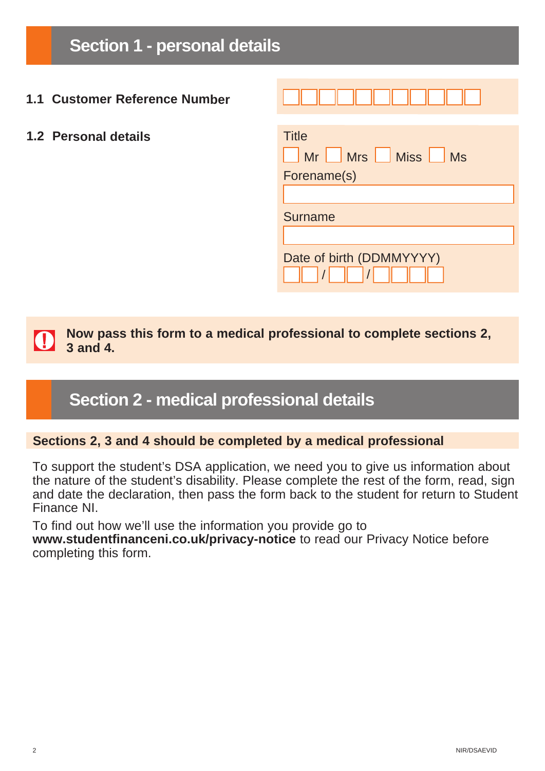**Section 1 - personal details**

- **1.1 Customer Reference Number**
- **1.2 Personal details**

| <b>Title</b>             |  |
|--------------------------|--|
| Mr Mrs Miss Miss         |  |
| Forename(s)              |  |
|                          |  |
| <b>Surname</b>           |  |
|                          |  |
| Date of birth (DDMMYYYY) |  |

**Now pass this form to a medical professional to complete sections 2,**  IO) **3 and 4.** 

## **Section 2 - medical professional details**

#### **Sections 2, 3 and 4 should be completed by a medical professional**

To support the student's DSA application, we need you to give us information about the nature of the student's disability. Please complete the rest of the form, read, sign and date the declaration, then pass the form back to the student for return to Student Finance NI.

To find out how we'll use the information you provide go to **[www.studentfinanceni.co.uk/privacy-notice](http://www.studentfinanceni.co.uk/privacynotice)** to read our Privacy Notice before completing this form.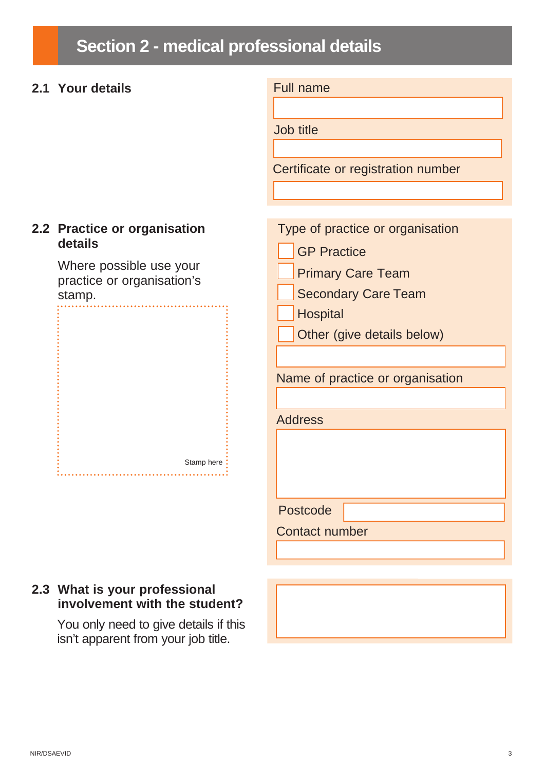# **Section 2 - medical professional details**

#### **2.1 Your details** Full name

Job title

Certificate or registration number

#### **2.2 Practice or organisation details**

Where possible use your practice or organisation's stamp.

Stamp here 



#### **2.3 What is your professional involvement with the student?**

You only need to give details if this isn't apparent from your job title.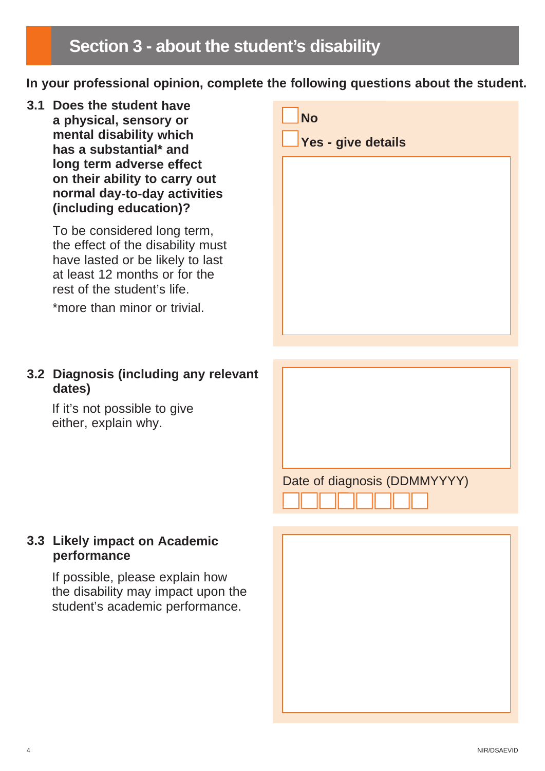**In your professional opinion, complete the following questions about the student.**

**3.1 Does the student have a physical, sensory or mental disability which has a substantial\* and long term adverse effect on their ability to carry out normal day-to-day activities (including education)?**

> To be considered long term, the effect of the disability must have lasted or be likely to last at least 12 months or for the rest of the student's life.

\*more than minor or trivial.

| <b>No</b><br>Yes - give details |  |
|---------------------------------|--|
|                                 |  |
|                                 |  |
|                                 |  |
|                                 |  |

### **3.2 Diagnosis (including any relevant dates)**

If it's not possible to give either, explain why.

### Date of diagnosis (DDMMYYYY)



#### **3.3 Likely impact on Academic performance**

If possible, please explain how the disability may impact upon the student's academic performance.

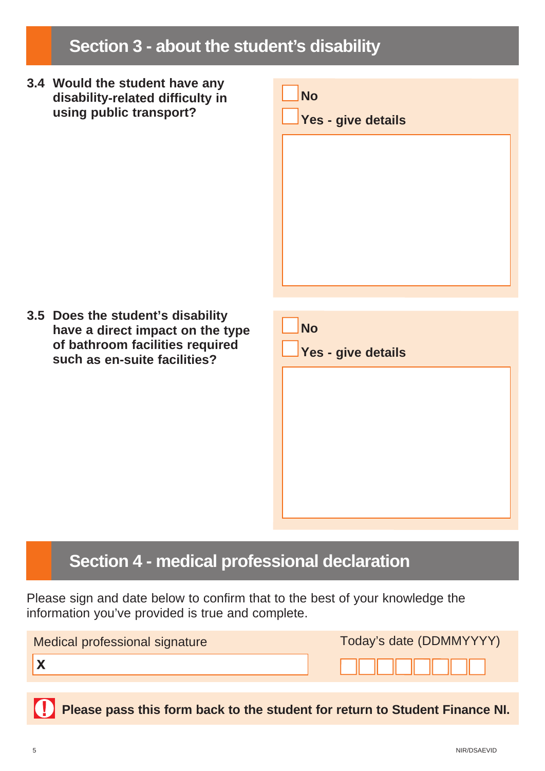# **Section 3 - about the student's disability**

**3.4 Would the student have any disability-related difficulty in using public transport?**



**3.5 Does the student's disability have a direct impact on the type of bathroom facilities required such as en-suite facilities?**

| <b>No</b>          |  |
|--------------------|--|
| Yes - give details |  |
|                    |  |
|                    |  |
|                    |  |
|                    |  |
|                    |  |

## **Section 4 - medical professional declaration**

Please sign and date below to confirm that to the best of your knowledge the information you've provided is true and complete.

| Medical professional signature | Today's date (DDMMYYYY) |
|--------------------------------|-------------------------|
|                                |                         |
|                                |                         |

**Please pass this form back to the student for return to Student Finance NI.**